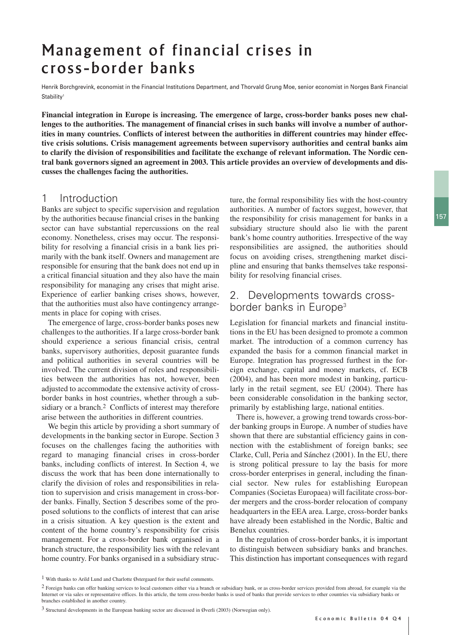# Management of financial crises in cross-border banks

Henrik Borchgrevink, economist in the Financial Institutions Department, and Thorvald Grung Moe, senior economist in Norges Bank Financial Stability1

**Financial integration in Europe is increasing. The emergence of large, cross-border banks poses new challenges to the authorities. The management of financial crises in such banks will involve a number of authorities in many countries. Conflicts of interest between the authorities in different countries may hinder effective crisis solutions. Crisis management agreements between supervisory authorities and central banks aim to clarify the division of responsibilities and facilitate the exchange of relevant information. The Nordic central bank governors signed an agreement in 2003. This article provides an overview of developments and discusses the challenges facing the authorities.**

## 1 Introduction

Banks are subject to specific supervision and regulation by the authorities because financial crises in the banking sector can have substantial repercussions on the real economy. Nonetheless, crises may occur. The responsibility for resolving a financial crisis in a bank lies primarily with the bank itself. Owners and management are responsible for ensuring that the bank does not end up in a critical financial situation and they also have the main responsibility for managing any crises that might arise. Experience of earlier banking crises shows, however, that the authorities must also have contingency arrangements in place for coping with crises.

The emergence of large, cross-border banks poses new challenges to the authorities. If a large cross-border bank should experience a serious financial crisis, central banks, supervisory authorities, deposit guarantee funds and political authorities in several countries will be involved. The current division of roles and responsibilities between the authorities has not, however, been adjusted to accommodate the extensive activity of crossborder banks in host countries, whether through a subsidiary or a branch.<sup>2</sup> Conflicts of interest may therefore arise between the authorities in different countries.

We begin this article by providing a short summary of developments in the banking sector in Europe. Section 3 focuses on the challenges facing the authorities with regard to managing financial crises in cross-border banks, including conflicts of interest. In Section 4, we discuss the work that has been done internationally to clarify the division of roles and responsibilities in relation to supervision and crisis management in cross-border banks. Finally, Section 5 describes some of the proposed solutions to the conflicts of interest that can arise in a crisis situation. A key question is the extent and content of the home country's responsibility for crisis management. For a cross-border bank organised in a branch structure, the responsibility lies with the relevant home country. For banks organised in a subsidiary struc-

ture, the formal responsibility lies with the host-country authorities. A number of factors suggest, however, that the responsibility for crisis management for banks in a subsidiary structure should also lie with the parent bank's home country authorities. Irrespective of the way responsibilities are assigned, the authorities should focus on avoiding crises, strengthening market discipline and ensuring that banks themselves take responsibility for resolving financial crises.

## 2. Developments towards crossborder banks in Europe<sup>3</sup>

Legislation for financial markets and financial institutions in the EU has been designed to promote a common market. The introduction of a common currency has expanded the basis for a common financial market in Europe. Integration has progressed furthest in the foreign exchange, capital and money markets, cf. ECB (2004), and has been more modest in banking, particularly in the retail segment, see EU (2004). There has been considerable consolidation in the banking sector, primarily by establishing large, national entities.

There is, however, a growing trend towards cross-border banking groups in Europe. A number of studies have shown that there are substantial efficiency gains in connection with the establishment of foreign banks; see Clarke, Cull, Peria and Sánchez (2001). In the EU, there is strong political pressure to lay the basis for more cross-border enterprises in general, including the financial sector. New rules for establishing European Companies (Societas Europaea) will facilitate cross-border mergers and the cross-border relocation of company headquarters in the EEA area. Large, cross-border banks have already been established in the Nordic, Baltic and Benelux countries.

In the regulation of cross-border banks, it is important to distinguish between subsidiary banks and branches. This distinction has important consequences with regard

<sup>1</sup> With thanks to Arild Lund and Charlotte Østergaard for their useful comments.

<sup>&</sup>lt;sup>2</sup> Foreign banks can offer banking services to local customers either via a branch or subsidiary bank, or as cross-border services provided from abroad, for example via the Internet or via sales or representative offices. In this article, the term cross-border banks is used of banks that provide services to other countries via subsidiary banks or branches established in another country.

<sup>3</sup> Structural developments in the European banking sector are discussed in Øverli (2003) (Norwegian only).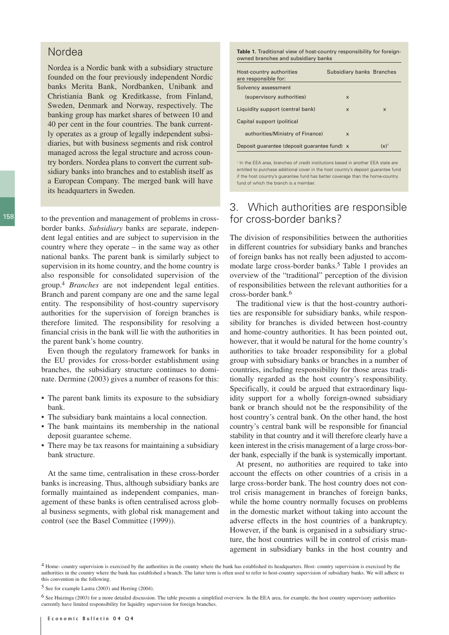#### Nordea

Nordea is a Nordic bank with a subsidiary structure founded on the four previously independent Nordic banks Merita Bank, Nordbanken, Unibank and Christiania Bank og Kreditkasse, from Finland, Sweden, Denmark and Norway, respectively. The banking group has market shares of between 10 and 40 per cent in the four countries. The bank currently operates as a group of legally independent subsidiaries, but with business segments and risk control managed across the legal structure and across country borders. Nordea plans to convert the current subsidiary banks into branches and to establish itself as a European Company. The merged bank will have its headquarters in Sweden.

to the prevention and management of problems in crossborder banks. *Subsidiary* banks are separate, independent legal entities and are subject to supervision in the country where they operate – in the same way as other national banks. The parent bank is similarly subject to supervision in its home country, and the home country is also responsible for consolidated supervision of the group.4 *Branches* are not independent legal entities. Branch and parent company are one and the same legal entity. The responsibility of host-country supervisory authorities for the supervision of foreign branches is therefore limited. The responsibility for resolving a financial crisis in the bank will lie with the authorities in the parent bank's home country.

Even though the regulatory framework for banks in the EU provides for cross-border establishment using branches, the subsidiary structure continues to dominate. Dermine (2003) gives a number of reasons for this:

- The parent bank limits its exposure to the subsidiary bank.
- The subsidiary bank maintains a local connection.
- The bank maintains its membership in the national deposit guarantee scheme.
- There may be tax reasons for maintaining a subsidiary bank structure.

At the same time, centralisation in these cross-border banks is increasing. Thus, although subsidiary banks are formally maintained as independent companies, management of these banks is often centralised across global business segments, with global risk management and control (see the Basel Committee (1999)).

**Table 1.** Traditional view of host-country responsibility for foreignowned branches and subsidiary banks

| Host-country authorities<br>are responsible for: | Subsidiary banks Branches |                           |
|--------------------------------------------------|---------------------------|---------------------------|
| Solvency assessment                              |                           |                           |
| (supervisory authorities)                        | $\boldsymbol{\mathsf{x}}$ |                           |
| Liquidity support (central bank)                 | $\boldsymbol{\mathsf{x}}$ | $\boldsymbol{\mathsf{x}}$ |
| Capital support (political                       |                           |                           |
| authorities/Ministry of Finance)                 | $\mathsf{x}$              |                           |
| Deposit quarantee (deposit quarantee fund) x     |                           | $(x)$ <sup>1</sup>        |

<sup>1</sup> In the EEA area, branches of credit institutions based in another EEA state are entitled to purchase additional cover in the host country's deposit guarantee fund if the host country's guarantee fund has better coverage than the home-country fund of which the branch is a member.

# 3. Which authorities are responsible for cross-border banks?

The division of responsibilities between the authorities in different countries for subsidiary banks and branches of foreign banks has not really been adjusted to accommodate large cross-border banks.5 Table 1 provides an overview of the "traditional" perception of the division of responsibilities between the relevant authorities for a cross-border bank.6

The traditional view is that the host-country authorities are responsible for subsidiary banks, while responsibility for branches is divided between host-country and home-country authorities. It has been pointed out, however, that it would be natural for the home country's authorities to take broader responsibility for a global group with subsidiary banks or branches in a number of countries, including responsibility for those areas traditionally regarded as the host country's responsibility. Specifically, it could be argued that extraordinary liquidity support for a wholly foreign-owned subsidiary bank or branch should not be the responsibility of the host country's central bank. On the other hand, the host country's central bank will be responsible for financial stability in that country and it will therefore clearly have a keen interest in the crisis management of a large cross-border bank, especially if the bank is systemically important.

At present, no authorities are required to take into account the effects on other countries of a crisis in a large cross-border bank. The host country does not control crisis management in branches of foreign banks, while the home country normally focuses on problems in the domestic market without taking into account the adverse effects in the host countries of a bankruptcy. However, if the bank is organised in a subsidiary structure, the host countries will be in control of crisis management in subsidiary banks in the host country and

<sup>4</sup> Home- country supervision is exercised by the authorities in the country where the bank has established its headquarters. Host- country supervision is exercised by the authorities in the country where the bank has established a branch. The latter term is often used to refer to host-country supervision of subsidiary banks. We will adhere to this convention in the following.

<sup>5</sup> See for example Lastra (2003) and Herring (2004).

<sup>6</sup> See Huizinga (2003) for a more detailed discussion. The table presents a simplified overview. In the EEA area, for example, the host country supervisory authorities currently have limited responsibility for liquidity supervision for foreign branches.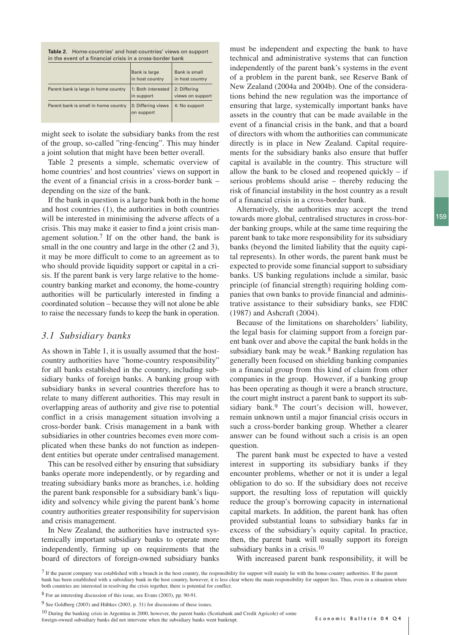**Table 2.** Home-countries' and host-countries' views on support in the event of a financial crisis in a cross-border bank

|                                      | Bank is large<br>in host country | Bank is small<br>in host country |
|--------------------------------------|----------------------------------|----------------------------------|
| Parent bank is large in home country | 1: Both interested<br>in support | 2: Differing<br>views on support |
| Parent bank is small in home country | 3: Differing views<br>on support | 4: No support                    |

might seek to isolate the subsidiary banks from the rest of the group, so-called "ring-fencing". This may hinder a joint solution that might have been better overall.

Table 2 presents a simple, schematic overview of home countries' and host countries' views on support in the event of a financial crisis in a cross-border bank – depending on the size of the bank.

If the bank in question is a large bank both in the home and host countries (1), the authorities in both countries will be interested in minimising the adverse affects of a crisis. This may make it easier to find a joint crisis management solution.7 If on the other hand, the bank is small in the one country and large in the other  $(2 \text{ and } 3)$ , it may be more difficult to come to an agreement as to who should provide liquidity support or capital in a crisis. If the parent bank is very large relative to the homecountry banking market and economy, the home-country authorities will be particularly interested in finding a coordinated solution – because they will not alone be able to raise the necessary funds to keep the bank in operation.

#### *3.1 Subsidiary banks*

As shown in Table 1, it is usually assumed that the hostcountry authorities have "home-country responsibility" for all banks established in the country, including subsidiary banks of foreign banks. A banking group with subsidiary banks in several countries therefore has to relate to many different authorities. This may result in overlapping areas of authority and give rise to potential conflict in a crisis management situation involving a cross-border bank. Crisis management in a bank with subsidiaries in other countries becomes even more complicated when these banks do not function as independent entities but operate under centralised management.

This can be resolved either by ensuring that subsidiary banks operate more independently, or by regarding and treating subsidiary banks more as branches, i.e. holding the parent bank responsible for a subsidiary bank's liquidity and solvency while giving the parent bank's home country authorities greater responsibility for supervision and crisis management.

In New Zealand, the authorities have instructed systemically important subsidiary banks to operate more independently, firming up on requirements that the board of directors of foreign-owned subsidiary banks must be independent and expecting the bank to have technical and administrative systems that can function independently of the parent bank's systems in the event of a problem in the parent bank, see Reserve Bank of New Zealand (2004a and 2004b). One of the considerations behind the new regulation was the importance of ensuring that large, systemically important banks have assets in the country that can be made available in the event of a financial crisis in the bank, and that a board of directors with whom the authorities can communicate directly is in place in New Zealand. Capital requirements for the subsidiary banks also ensure that buffer capital is available in the country. This structure will allow the bank to be closed and reopened quickly  $-$  if serious problems should arise – thereby reducing the risk of financial instability in the host country as a result of a financial crisis in a cross-border bank.

Alternatively, the authorities may accept the trend towards more global, centralised structures in cross-border banking groups, while at the same time requiring the parent bank to take more responsibility for its subsidiary banks (beyond the limited liability that the equity capital represents). In other words, the parent bank must be expected to provide some financial support to subsidiary banks. US banking regulations include a similar, basic principle (of financial strength) requiring holding companies that own banks to provide financial and administrative assistance to their subsidiary banks, see FDIC (1987) and Ashcraft (2004).

Because of the limitations on shareholders' liability, the legal basis for claiming support from a foreign parent bank over and above the capital the bank holds in the subsidiary bank may be weak.<sup>8</sup> Banking regulation has generally been focused on shielding banking companies in a financial group from this kind of claim from other companies in the group. However, if a banking group has been operating as though it were a branch structure, the court might instruct a parent bank to support its subsidiary bank.<sup>9</sup> The court's decision will, however, remain unknown until a major financial crisis occurs in such a cross-border banking group. Whether a clearer answer can be found without such a crisis is an open question.

The parent bank must be expected to have a vested interest in supporting its subsidiary banks if they encounter problems, whether or not it is under a legal obligation to do so. If the subsidiary does not receive support, the resulting loss of reputation will quickly reduce the group's borrowing capacity in international capital markets. In addition, the parent bank has often provided substantial loans to subsidiary banks far in excess of the subsidiary's equity capital. In practice, then, the parent bank will usually support its foreign subsidiary banks in a crisis.<sup>10</sup>

With increased parent bank responsibility, it will be

foreign-owned subsidiary banks did not intervene when the subsidiary banks went bankrupt.

<sup>7</sup> If the parent company was established with a branch in the host country, the responsibility for support will mainly lie with the home-country authorities. If the parent bank has been established with a subsidiary bank in the host country, however, it is less clear where the main responsibility for support lies. Thus, even in a situation where both countries are interested in resolving the crisis together, there is potential for conflict.

<sup>8</sup> For an interesting discussion of this issue, see Evans (2003), pp. 90-91.

<sup>9</sup> See Goldberg (2003) and Hübkes (2003, p. 31) for discussions of these issues.

<sup>10</sup> During the banking crisis in Argentina in 2000, however, the parent banks (Scotiabank and Credit Agricole) of some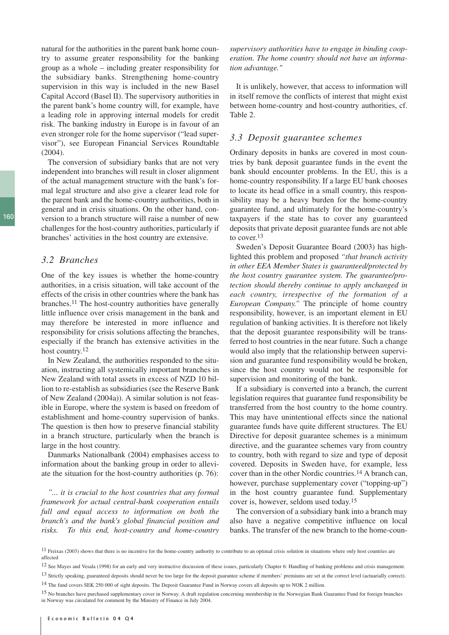natural for the authorities in the parent bank home country to assume greater responsibility for the banking group as a whole – including greater responsibility for the subsidiary banks. Strengthening home-country supervision in this way is included in the new Basel Capital Accord (Basel II). The supervisory authorities in the parent bank's home country will, for example, have a leading role in approving internal models for credit risk. The banking industry in Europe is in favour of an even stronger role for the home supervisor ("lead supervisor"), see European Financial Services Roundtable  $(2004)$ .

The conversion of subsidiary banks that are not very independent into branches will result in closer alignment of the actual management structure with the bank's formal legal structure and also give a clearer lead role for the parent bank and the home-country authorities, both in general and in crisis situations. On the other hand, conversion to a branch structure will raise a number of new challenges for the host-country authorities, particularly if branches' activities in the host country are extensive.

#### *3.2 Branches*

One of the key issues is whether the home-country authorities, in a crisis situation, will take account of the effects of the crisis in other countries where the bank has branches.11 The host-country authorities have generally little influence over crisis management in the bank and may therefore be interested in more influence and responsibility for crisis solutions affecting the branches, especially if the branch has extensive activities in the host country.<sup>12</sup>

In New Zealand, the authorities responded to the situation, instructing all systemically important branches in New Zealand with total assets in excess of NZD 10 billion to re-establish as subsidiaries (see the Reserve Bank of New Zealand (2004a)). A similar solution is not feasible in Europe, where the system is based on freedom of establishment and home-country supervision of banks. The question is then how to preserve financial stability in a branch structure, particularly when the branch is large in the host country.

Danmarks Nationalbank (2004) emphasises access to information about the banking group in order to alleviate the situation for the host-country authorities (p. 76):

*"... it is crucial to the host countries that any formal framework for actual central-bank cooperation entails full and equal access to information on both the branch's and the bank's global financial position and risks. To this end, host-country and home-country* *supervisory authorities have to engage in binding cooperation. The home country should not have an information advantage."*

It is unlikely, however, that access to information will in itself remove the conflicts of interest that might exist between home-country and host-country authorities, cf. Table 2.

#### *3.3 Deposit guarantee schemes*

Ordinary deposits in banks are covered in most countries by bank deposit guarantee funds in the event the bank should encounter problems. In the EU, this is a home-country responsibility. If a large EU bank chooses to locate its head office in a small country, this responsibility may be a heavy burden for the home-country guarantee fund, and ultimately for the home-country's taxpayers if the state has to cover any guaranteed deposits that private deposit guarantee funds are not able to cover.13

Sweden's Deposit Guarantee Board (2003) has highlighted this problem and proposed *"that branch activity in other EEA Member States is guaranteed/protected by the host country guarantee system. The guarantee/protection should thereby continue to apply unchanged in each country, irrespective of the formation of a European Company."* The principle of home country responsibility, however, is an important element in EU regulation of banking activities. It is therefore not likely that the deposit guarantee responsibility will be transferred to host countries in the near future. Such a change would also imply that the relationship between supervision and guarantee fund responsibility would be broken, since the host country would not be responsible for supervision and monitoring of the bank.

If a subsidiary is converted into a branch, the current legislation requires that guarantee fund responsibility be transferred from the host country to the home country. This may have unintentional effects since the national guarantee funds have quite different structures. The EU Directive for deposit guarantee schemes is a minimum directive, and the guarantee schemes vary from country to country, both with regard to size and type of deposit covered. Deposits in Sweden have, for example, less cover than in the other Nordic countries.14 A branch can, however, purchase supplementary cover ("topping-up") in the host country guarantee fund. Supplementary cover is, however, seldom used today.15

The conversion of a subsidiary bank into a branch may also have a negative competitive influence on local banks. The transfer of the new branch to the home-coun-

12 See Mayes and Vesala (1998) for an early and very instructive discussion of these issues, particularly Chapter 6: Handling of banking problems and crisis management.

<sup>13</sup> Strictly speaking, guaranteed deposits should never be too large for the deposit guarantee scheme if members' premiums are set at the correct level (actuarially correct). 14 The fund covers SEK 250 000 of sight deposits. The Deposit Guarantee Fund in Norway covers all deposits up to NOK 2 million.

<sup>&</sup>lt;sup>11</sup> Freixas (2003) shows that there is no incentive for the home-country authority to contribute to an optimal crisis solution in situations where only host countries are affected

<sup>&</sup>lt;sup>15</sup> No branches have purchased supplementary cover in Norway. A draft regulation concerning membership in the Norwegian Bank Guarantee Fund for foreign branches in Norway was circulated for comment by the Ministry of Finance in July 2004.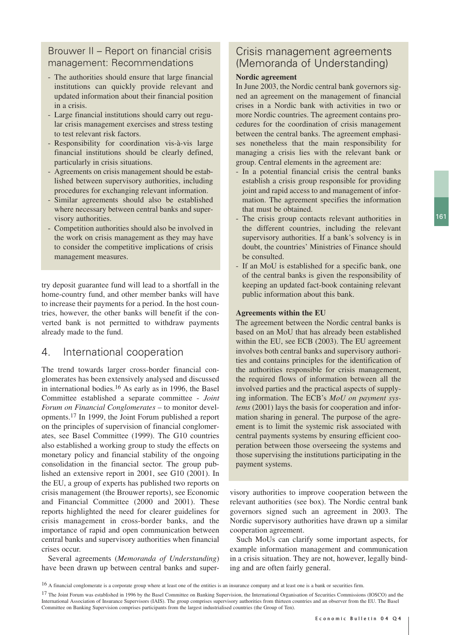## Brouwer II – Report on financial crisis management: Recommendations

- The authorities should ensure that large financial institutions can quickly provide relevant and updated information about their financial position in a crisis.
- Large financial institutions should carry out regular crisis management exercises and stress testing to test relevant risk factors.
- Responsibility for coordination vis-à-vis large financial institutions should be clearly defined, particularly in crisis situations.
- Agreements on crisis management should be established between supervisory authorities, including procedures for exchanging relevant information.
- Similar agreements should also be established where necessary between central banks and supervisory authorities.
- Competition authorities should also be involved in the work on crisis management as they may have to consider the competitive implications of crisis management measures.

try deposit guarantee fund will lead to a shortfall in the home-country fund, and other member banks will have to increase their payments for a period. In the host countries, however, the other banks will benefit if the converted bank is not permitted to withdraw payments already made to the fund.

# 4. International cooperation

The trend towards larger cross-border financial conglomerates has been extensively analysed and discussed in international bodies.16 As early as in 1996, the Basel Committee established a separate committee - *Joint Forum on Financial Conglomerates* – to monitor developments.17 In 1999, the Joint Forum published a report on the principles of supervision of financial conglomerates, see Basel Committee (1999). The G10 countries also established a working group to study the effects on monetary policy and financial stability of the ongoing consolidation in the financial sector. The group published an extensive report in 2001, see G10 (2001). In the EU, a group of experts has published two reports on crisis management (the Brouwer reports), see Economic and Financial Committee (2000 and 2001). These reports highlighted the need for clearer guidelines for crisis management in cross-border banks, and the importance of rapid and open communication between central banks and supervisory authorities when financial crises occur.

Several agreements (*Memoranda of Understanding*) have been drawn up between central banks and super-

# Crisis management agreements (Memoranda of Understanding)

#### **Nordic agreement**

In June 2003, the Nordic central bank governors signed an agreement on the management of financial crises in a Nordic bank with activities in two or more Nordic countries. The agreement contains procedures for the coordination of crisis management between the central banks. The agreement emphasises nonetheless that the main responsibility for managing a crisis lies with the relevant bank or group. Central elements in the agreement are:

- In a potential financial crisis the central banks establish a crisis group responsible for providing joint and rapid access to and management of information. The agreement specifies the information that must be obtained.
- The crisis group contacts relevant authorities in the different countries, including the relevant supervisory authorities. If a bank's solvency is in doubt, the countries' Ministries of Finance should be consulted.
- If an MoU is established for a specific bank, one of the central banks is given the responsibility of keeping an updated fact-book containing relevant public information about this bank.

#### **Agreements within the EU**

The agreement between the Nordic central banks is based on an MoU that has already been established within the EU, see ECB (2003). The EU agreement involves both central banks and supervisory authorities and contains principles for the identification of the authorities responsible for crisis management, the required flows of information between all the involved parties and the practical aspects of supplying information. The ECB's *MoU on payment systems* (2001) lays the basis for cooperation and information sharing in general. The purpose of the agreement is to limit the systemic risk associated with central payments systems by ensuring efficient cooperation between those overseeing the systems and those supervising the institutions participating in the payment systems.

visory authorities to improve cooperation between the relevant authorities (see box). The Nordic central bank governors signed such an agreement in 2003. The Nordic supervisory authorities have drawn up a similar cooperation agreement.

Such MoUs can clarify some important aspects, for example information management and communication in a crisis situation. They are not, however, legally binding and are often fairly general.

<sup>17</sup> The Joint Forum was established in 1996 by the Basel Committee on Banking Supervision, the International Organisation of Securities Commissions (IOSCO) and the International Association of Insurance Supervisors (IAIS). The group comprises supervisory authorities from thirteen countries and an observer from the EU. The Basel Committee on Banking Supervision comprises participants from the largest industrialised countries (the Group of Ten).

<sup>16</sup> A financial conglomerate is a corporate group where at least one of the entities is an insurance company and at least one is a bank or securities firm.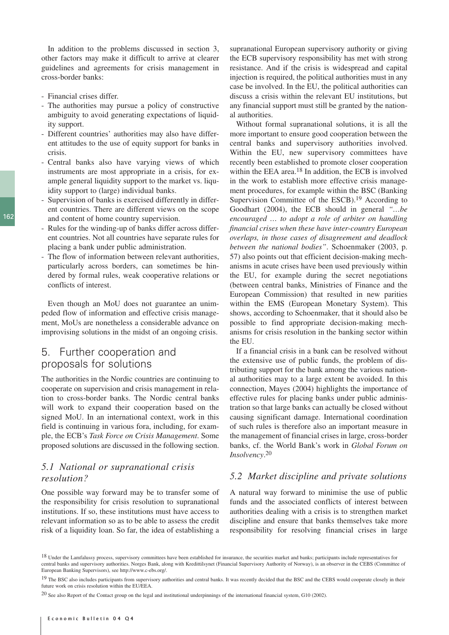In addition to the problems discussed in section 3, other factors may make it difficult to arrive at clearer guidelines and agreements for crisis management in cross-border banks:

- Financial crises differ.
- The authorities may pursue a policy of constructive ambiguity to avoid generating expectations of liquidity support.
- Different countries' authorities may also have different attitudes to the use of equity support for banks in crisis.
- Central banks also have varying views of which instruments are most appropriate in a crisis, for example general liquidity support to the market vs. liquidity support to (large) individual banks.
- Supervision of banks is exercised differently in different countries. There are different views on the scope and content of home country supervision.
- Rules for the winding-up of banks differ across different countries. Not all countries have separate rules for placing a bank under public administration.
- The flow of information between relevant authorities, particularly across borders, can sometimes be hindered by formal rules, weak cooperative relations or conflicts of interest.

Even though an MoU does not guarantee an unimpeded flow of information and effective crisis management, MoUs are nonetheless a considerable advance on improvising solutions in the midst of an ongoing crisis.

# 5. Further cooperation and proposals for solutions

The authorities in the Nordic countries are continuing to cooperate on supervision and crisis management in relation to cross-border banks. The Nordic central banks will work to expand their cooperation based on the signed MoU. In an international context, work in this field is continuing in various fora, including, for example, the ECB's *Task Force on Crisis Management*. Some proposed solutions are discussed in the following section.

#### *5.1 National or supranational crisis resolution?*

One possible way forward may be to transfer some of the responsibility for crisis resolution to supranational institutions. If so, these institutions must have access to relevant information so as to be able to assess the credit risk of a liquidity loan. So far, the idea of establishing a

supranational European supervisory authority or giving the ECB supervisory responsibility has met with strong resistance. And if the crisis is widespread and capital injection is required, the political authorities must in any case be involved. In the EU, the political authorities can discuss a crisis within the relevant EU institutions, but any financial support must still be granted by the national authorities.

Without formal supranational solutions, it is all the more important to ensure good cooperation between the central banks and supervisory authorities involved. Within the EU, new supervisory committees have recently been established to promote closer cooperation within the EEA area.<sup>18</sup> In addition, the ECB is involved in the work to establish more effective crisis management procedures, for example within the BSC (Banking Supervision Committee of the ESCB).<sup>19</sup> According to Goodhart (2004), the ECB should in general *"…be encouraged … to adopt a role of arbiter on handling financial crises when these have inter-country European overlaps, in those cases of disagreement and deadlock between the national bodies"*. Schoenmaker (2003, p. 57) also points out that efficient decision-making mechanisms in acute crises have been used previously within the EU, for example during the secret negotiations (between central banks, Ministries of Finance and the European Commission) that resulted in new parities within the EMS (European Monetary System). This shows, according to Schoenmaker, that it should also be possible to find appropriate decision-making mechanisms for crisis resolution in the banking sector within the EU.

If a financial crisis in a bank can be resolved without the extensive use of public funds, the problem of distributing support for the bank among the various national authorities may to a large extent be avoided. In this connection, Mayes (2004) highlights the importance of effective rules for placing banks under public administration so that large banks can actually be closed without causing significant damage. International coordination of such rules is therefore also an important measure in the management of financial crises in large, cross-border banks, cf. the World Bank's work in *Global Forum on Insolvency*. 20

#### *5.2 Market discipline and private solutions*

A natural way forward to minimise the use of public funds and the associated conflicts of interest between authorities dealing with a crisis is to strengthen market discipline and ensure that banks themselves take more responsibility for resolving financial crises in large

<sup>&</sup>lt;sup>18</sup> Under the Lamfalussy process, supervisory committees have been established for insurance, the securities market and banks; participants include representatives for central banks and supervisory authorities. Norges Bank, along with Kredittilsynet (Financial Supervisory Authority of Norway), is an observer in the CEBS (Committee of European Banking Supervisors), see http://www.c-ebs.org/.

<sup>&</sup>lt;sup>19</sup> The BSC also includes participants from supervisory authorities and central banks. It was recently decided that the BSC and the CEBS would cooperate closely in their future work on crisis resolution within the EU/EEA.

<sup>20</sup> See also Report of the Contact group on the legal and institutional underpinnings of the international financial system, G10 (2002).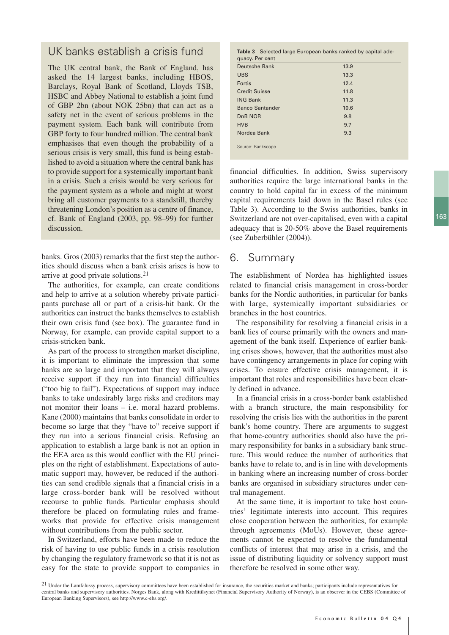## UK banks establish a crisis fund

The UK central bank, the Bank of England, has asked the 14 largest banks, including HBOS, Barclays, Royal Bank of Scotland, Lloyds TSB, HSBC and Abbey National to establish a joint fund of GBP 2bn (about NOK 25bn) that can act as a safety net in the event of serious problems in the payment system. Each bank will contribute from GBP forty to four hundred million. The central bank emphasises that even though the probability of a serious crisis is very small, this fund is being established to avoid a situation where the central bank has to provide support for a systemically important bank in a crisis. Such a crisis would be very serious for the payment system as a whole and might at worst bring all customer payments to a standstill, thereby threatening London's position as a centre of finance, cf. Bank of England (2003, pp. 98–99) for further discussion.

banks. Gros (2003) remarks that the first step the authorities should discuss when a bank crisis arises is how to arrive at good private solutions.21

The authorities, for example, can create conditions and help to arrive at a solution whereby private participants purchase all or part of a crisis-hit bank. Or the authorities can instruct the banks themselves to establish their own crisis fund (see box). The guarantee fund in Norway, for example, can provide capital support to a crisis-stricken bank.

As part of the process to strengthen market discipline, it is important to eliminate the impression that some banks are so large and important that they will always receive support if they run into financial difficulties ("too big to fail"). Expectations of support may induce banks to take undesirably large risks and creditors may not monitor their loans – i.e. moral hazard problems. Kane (2000) maintains that banks consolidate in order to become so large that they "have to" receive support if they run into a serious financial crisis. Refusing an application to establish a large bank is not an option in the EEA area as this would conflict with the EU principles on the right of establishment. Expectations of automatic support may, however, be reduced if the authorities can send credible signals that a financial crisis in a large cross-border bank will be resolved without recourse to public funds. Particular emphasis should therefore be placed on formulating rules and frameworks that provide for effective crisis management without contributions from the public sector.

In Switzerland, efforts have been made to reduce the risk of having to use public funds in a crisis resolution by changing the regulatory framework so that it is not as easy for the state to provide support to companies in

| <b>Table 3</b> Selected large European banks ranked by capital ade- |  |
|---------------------------------------------------------------------|--|
| quacy. Per cent                                                     |  |

| <b>Deutsche Bank</b>   | 13.9 |  |
|------------------------|------|--|
| <b>UBS</b>             | 13.3 |  |
| Fortis                 | 12.4 |  |
| <b>Credit Suisse</b>   | 11.8 |  |
| <b>ING Bank</b>        | 11.3 |  |
| <b>Banco Santander</b> | 10.6 |  |
| D <sub>n</sub> B NOR   | 9.8  |  |
| <b>HVB</b>             | 9.7  |  |
| Nordea Bank            | 9.3  |  |
|                        |      |  |
| Source: Bankscope      |      |  |

financial difficulties. In addition, Swiss supervisory authorities require the large international banks in the country to hold capital far in excess of the minimum capital requirements laid down in the Basel rules (see Table 3). According to the Swiss authorities, banks in Switzerland are not over-capitalised, even with a capital adequacy that is 20-50% above the Basel requirements (see Zuberbühler (2004)).

# 6. Summary

The establishment of Nordea has highlighted issues related to financial crisis management in cross-border banks for the Nordic authorities, in particular for banks with large, systemically important subsidiaries or branches in the host countries.

The responsibility for resolving a financial crisis in a bank lies of course primarily with the owners and management of the bank itself. Experience of earlier banking crises shows, however, that the authorities must also have contingency arrangements in place for coping with crises. To ensure effective crisis management, it is important that roles and responsibilities have been clearly defined in advance.

In a financial crisis in a cross-border bank established with a branch structure, the main responsibility for resolving the crisis lies with the authorities in the parent bank's home country. There are arguments to suggest that home-country authorities should also have the primary responsibility for banks in a subsidiary bank structure. This would reduce the number of authorities that banks have to relate to, and is in line with developments in banking where an increasing number of cross-border banks are organised in subsidiary structures under central management.

At the same time, it is important to take host countries' legitimate interests into account. This requires close cooperation between the authorities, for example through agreements (MoUs). However, these agreements cannot be expected to resolve the fundamental conflicts of interest that may arise in a crisis, and the issue of distributing liquidity or solvency support must therefore be resolved in some other way.

<sup>21</sup> Under the Lamfalussy process, supervisory committees have been established for insurance, the securities market and banks; participants include representatives for central banks and supervisory authorities. Norges Bank, along with Kredittilsynet (Financial Supervisory Authority of Norway), is an observer in the CEBS (Committee of European Banking Supervisors), see http://www.c-ebs.org/.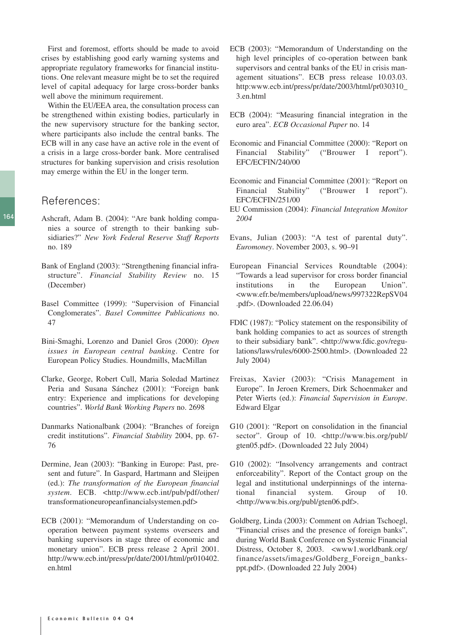First and foremost, efforts should be made to avoid crises by establishing good early warning systems and appropriate regulatory frameworks for financial institutions. One relevant measure might be to set the required level of capital adequacy for large cross-border banks well above the minimum requirement.

Within the EU/EEA area, the consultation process can be strengthened within existing bodies, particularly in the new supervisory structure for the banking sector, where participants also include the central banks. The ECB will in any case have an active role in the event of a crisis in a large cross-border bank. More centralised structures for banking supervision and crisis resolution may emerge within the EU in the longer term.

#### References:

- Ashcraft, Adam B. (2004): "Are bank holding companies a source of strength to their banking subsidiaries?" *New York Federal Reserve Staff Reports* no. 189
- Bank of England (2003): "Strengthening financial infrastructure". *Financial Stability Review* no. 15 (December)
- Basel Committee (1999): "Supervision of Financial Conglomerates". *Basel Committee Publications* no. 47
- Bini-Smaghi, Lorenzo and Daniel Gros (2000): *Open issues in European central banking*. Centre for European Policy Studies. Houndmills, MacMillan
- Clarke, George, Robert Cull, Maria Soledad Martinez Peria and Susana Sánchez (2001): "Foreign bank entry: Experience and implications for developing countries". *World Bank Working Papers* no. 2698
- Danmarks Nationalbank (2004): "Branches of foreign credit institutions". *Financial Stability* 2004, pp. 67- 76
- Dermine, Jean (2003): "Banking in Europe: Past, present and future". In Gaspard, Hartmann and Sleijpen (ed.): *The transformation of the European financial system*. ECB. <http://www.ecb.int/pub/pdf/other/ transformationeuropeanfinancialsystemen.pdf>
- ECB (2001): "Memorandum of Understanding on cooperation between payment systems overseers and banking supervisors in stage three of economic and monetary union". ECB press release 2 April 2001. http://www.ecb.int/press/pr/date/2001/html/pr010402. en.html
- ECB (2003): "Memorandum of Understanding on the high level principles of co-operation between bank supervisors and central banks of the EU in crisis management situations". ECB press release 10.03.03. http:www.ecb.int/press/pr/date/2003/html/pr030310\_ 3.en.html
- ECB (2004): "Measuring financial integration in the euro area". *ECB Occasional Paper* no. 14
- Economic and Financial Committee (2000): "Report on Financial Stability" ("Brouwer I report"). EFC/ECFIN/240/00
- Economic and Financial Committee (2001): "Report on Financial Stability" ("Brouwer I report"). EFC/ECFIN/251/00
- EU Commission (2004): *Financial Integration Monitor 2004*
- Evans, Julian (2003): "A test of parental duty". *Euromoney*. November 2003, s. 90–91
- European Financial Services Roundtable (2004): "Towards a lead supervisor for cross border financial institutions in the European Union". <www.efr.be/members/upload/news/997322RepSV04 .pdf>. (Downloaded 22.06.04)
- FDIC (1987): "Policy statement on the responsibility of bank holding companies to act as sources of strength to their subsidiary bank". <http://www.fdic.gov/regulations/laws/rules/6000-2500.html>. (Downloaded 22 July 2004)
- Freixas, Xavier (2003): "Crisis Management in Europe". In Jeroen Kremers, Dirk Schoenmaker and Peter Wierts (ed.): *Financial Supervision in Europe*. Edward Elgar
- G10 (2001): "Report on consolidation in the financial sector". Group of 10. <http://www.bis.org/publ/ gten05.pdf>. (Downloaded 22 July 2004)
- G10 (2002): "Insolvency arrangements and contract enforceability". Report of the Contact group on the legal and institutional underpinnings of the international financial system. Group of 10. <http://www.bis.org/publ/gten06.pdf>.
- Goldberg, Linda (2003): Comment on Adrian Tschoegl, "Financial crises and the presence of foreign banks", during World Bank Conference on Systemic Financial Distress, October 8, 2003. <www1.worldbank.org/ finance/assets/images/Goldberg\_Foreign\_banksppt.pdf>. (Downloaded 22 July 2004)